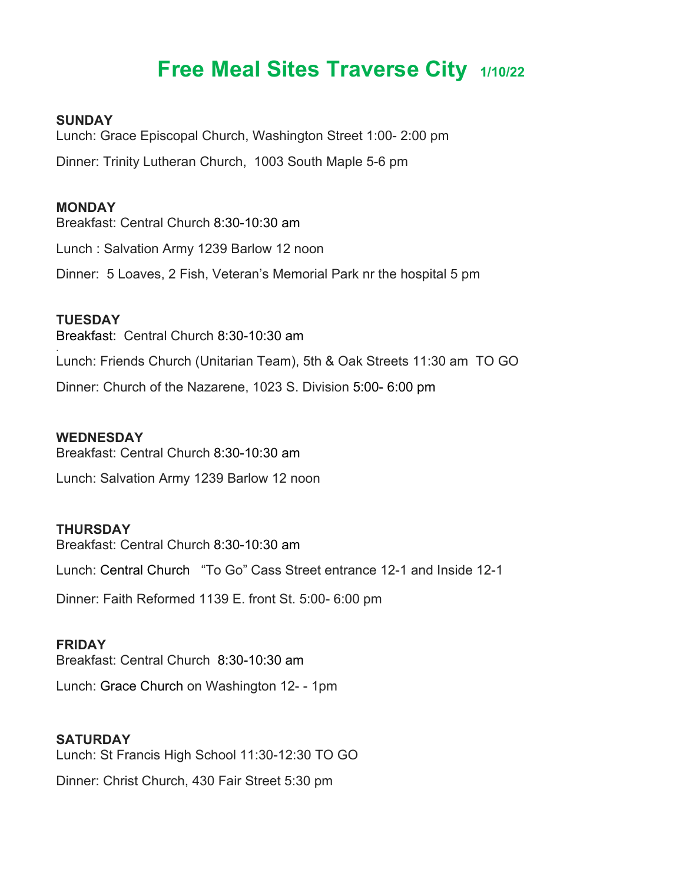# **Free Meal Sites Traverse City 1/10/22**

### **SUNDAY**

Lunch: Grace Episcopal Church, Washington Street 1:00- 2:00 pm Dinner: Trinity Lutheran Church, 1003 South Maple 5-6 pm

#### **MONDAY**

Breakfast: Central Church 8:30-10:30 am Lunch : Salvation Army 1239 Barlow 12 noon Dinner: 5 Loaves, 2 Fish, Veteran's Memorial Park nr the hospital 5 pm

## **TUESDAY**

Breakfast: Central Church 8:30-10:30 am . Lunch: Friends Church (Unitarian Team), 5th & Oak Streets 11:30 am TO GO Dinner: Church of the Nazarene, 1023 S. Division 5:00- 6:00 pm

### **WEDNESDAY**

Breakfast: Central Church 8:30-10:30 am

Lunch: Salvation Army 1239 Barlow 12 noon

#### **THURSDAY**

Breakfast: Central Church 8:30-10:30 am

Lunch: Central Church "To Go" Cass Street entrance 12-1 and Inside 12-1

Dinner: Faith Reformed 1139 E. front St. 5:00- 6:00 pm

### **FRIDAY**

Breakfast: Central Church 8:30-10:30 am

Lunch: Grace Church on Washington 12- - 1pm

## **SATURDAY**

Lunch: St Francis High School 11:30-12:30 TO GO

Dinner: Christ Church, 430 Fair Street 5:30 pm